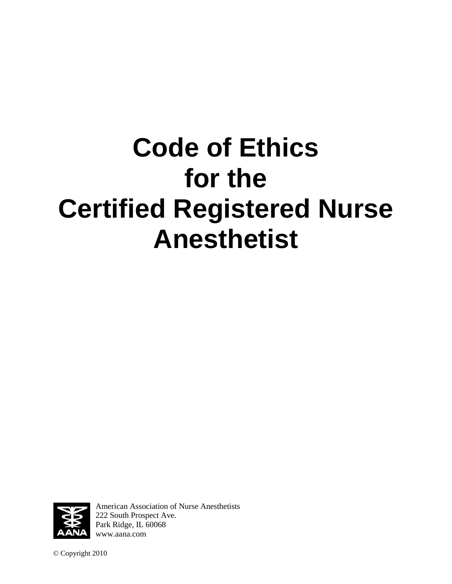# **Code of Ethics for the Certified Registered Nurse Anesthetist**



American Association of Nurse Anesthetists 222 South Prospect Ave. Park Ridge, IL 60068 [www.aana.com](http://www.aana.com/)

© Copyright 2010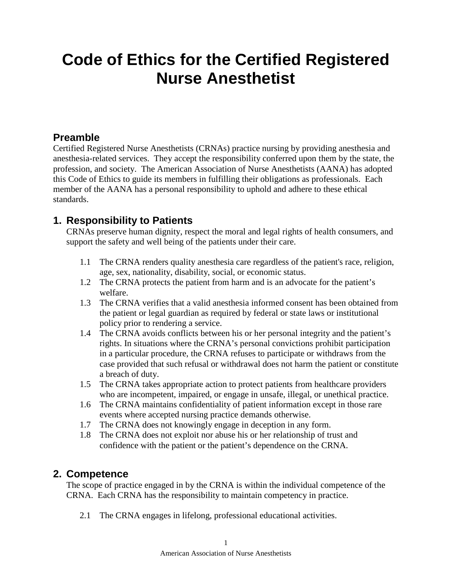## **Code of Ethics for the Certified Registered Nurse Anesthetist**

#### **Preamble**

Certified Registered Nurse Anesthetists (CRNAs) practice nursing by providing anesthesia and anesthesia-related services. They accept the responsibility conferred upon them by the state, the profession, and society. The American Association of Nurse Anesthetists (AANA) has adopted this Code of Ethics to guide its members in fulfilling their obligations as professionals. Each member of the AANA has a personal responsibility to uphold and adhere to these ethical standards.

#### **1. Responsibility to Patients**

CRNAs preserve human dignity, respect the moral and legal rights of health consumers, and support the safety and well being of the patients under their care.

- 1.1 The CRNA renders quality anesthesia care regardless of the patient's race, religion, age, sex, nationality, disability, social, or economic status.
- 1.2 The CRNA protects the patient from harm and is an advocate for the patient's welfare.
- 1.3 The CRNA verifies that a valid anesthesia informed consent has been obtained from the patient or legal guardian as required by federal or state laws or institutional policy prior to rendering a service.
- 1.4 The CRNA avoids conflicts between his or her personal integrity and the patient's rights. In situations where the CRNA's personal convictions prohibit participation in a particular procedure, the CRNA refuses to participate or withdraws from the case provided that such refusal or withdrawal does not harm the patient or constitute a breach of duty.
- 1.5 The CRNA takes appropriate action to protect patients from healthcare providers who are incompetent, impaired, or engage in unsafe, illegal, or unethical practice.
- 1.6 The CRNA maintains confidentiality of patient information except in those rare events where accepted nursing practice demands otherwise.
- 1.7 The CRNA does not knowingly engage in deception in any form.
- 1.8 The CRNA does not exploit nor abuse his or her relationship of trust and confidence with the patient or the patient's dependence on the CRNA.

#### **2. Competence**

The scope of practice engaged in by the CRNA is within the individual competence of the CRNA. Each CRNA has the responsibility to maintain competency in practice.

2.1 The CRNA engages in lifelong, professional educational activities.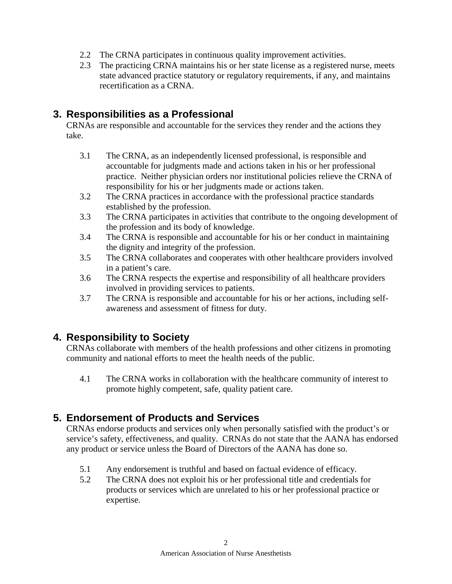- 2.2 The CRNA participates in continuous quality improvement activities.
- 2.3 The practicing CRNA maintains his or her state license as a registered nurse, meets state advanced practice statutory or regulatory requirements, if any, and maintains recertification as a CRNA.

#### **3. Responsibilities as a Professional**

CRNAs are responsible and accountable for the services they render and the actions they take.

- 3.1 The CRNA, as an independently licensed professional, is responsible and accountable for judgments made and actions taken in his or her professional practice. Neither physician orders nor institutional policies relieve the CRNA of responsibility for his or her judgments made or actions taken.
- 3.2 The CRNA practices in accordance with the professional practice standards established by the profession.
- 3.3 The CRNA participates in activities that contribute to the ongoing development of the profession and its body of knowledge.
- 3.4 The CRNA is responsible and accountable for his or her conduct in maintaining the dignity and integrity of the profession.
- 3.5 The CRNA collaborates and cooperates with other healthcare providers involved in a patient's care.
- 3.6 The CRNA respects the expertise and responsibility of all healthcare providers involved in providing services to patients.
- 3.7 The CRNA is responsible and accountable for his or her actions, including selfawareness and assessment of fitness for duty.

#### **4. Responsibility to Society**

CRNAs collaborate with members of the health professions and other citizens in promoting community and national efforts to meet the health needs of the public.

4.1 The CRNA works in collaboration with the healthcare community of interest to promote highly competent, safe, quality patient care.

#### **5. Endorsement of Products and Services**

CRNAs endorse products and services only when personally satisfied with the product's or service's safety, effectiveness, and quality. CRNAs do not state that the AANA has endorsed any product or service unless the Board of Directors of the AANA has done so.

- 5.1 Any endorsement is truthful and based on factual evidence of efficacy.
- 5.2 The CRNA does not exploit his or her professional title and credentials for products or services which are unrelated to his or her professional practice or expertise.